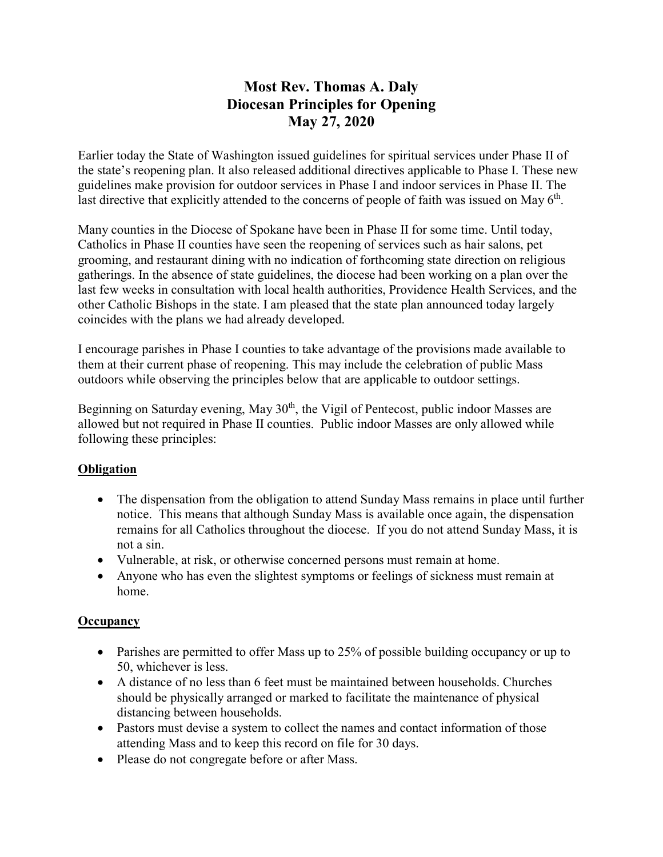# **Most Rev. Thomas A. Daly Diocesan Principles for Opening May 27, 2020**

Earlier today the State of Washington issued guidelines for spiritual services under Phase II of the state's reopening plan. It also released additional directives applicable to Phase I. These new guidelines make provision for outdoor services in Phase I and indoor services in Phase II. The last directive that explicitly attended to the concerns of people of faith was issued on May  $6<sup>th</sup>$ .

Many counties in the Diocese of Spokane have been in Phase II for some time. Until today, Catholics in Phase II counties have seen the reopening of services such as hair salons, pet grooming, and restaurant dining with no indication of forthcoming state direction on religious gatherings. In the absence of state guidelines, the diocese had been working on a plan over the last few weeks in consultation with local health authorities, Providence Health Services, and the other Catholic Bishops in the state. I am pleased that the state plan announced today largely coincides with the plans we had already developed.

I encourage parishes in Phase I counties to take advantage of the provisions made available to them at their current phase of reopening. This may include the celebration of public Mass outdoors while observing the principles below that are applicable to outdoor settings.

Beginning on Saturday evening, May  $30<sup>th</sup>$ , the Vigil of Pentecost, public indoor Masses are allowed but not required in Phase II counties. Public indoor Masses are only allowed while following these principles:

# **Obligation**

- The dispensation from the obligation to attend Sunday Mass remains in place until further notice. This means that although Sunday Mass is available once again, the dispensation remains for all Catholics throughout the diocese. If you do not attend Sunday Mass, it is not a sin.
- Vulnerable, at risk, or otherwise concerned persons must remain at home.
- Anyone who has even the slightest symptoms or feelings of sickness must remain at home.

# **Occupancy**

- Parishes are permitted to offer Mass up to 25% of possible building occupancy or up to 50, whichever is less.
- A distance of no less than 6 feet must be maintained between households. Churches should be physically arranged or marked to facilitate the maintenance of physical distancing between households.
- Pastors must devise a system to collect the names and contact information of those attending Mass and to keep this record on file for 30 days.
- Please do not congregate before or after Mass.